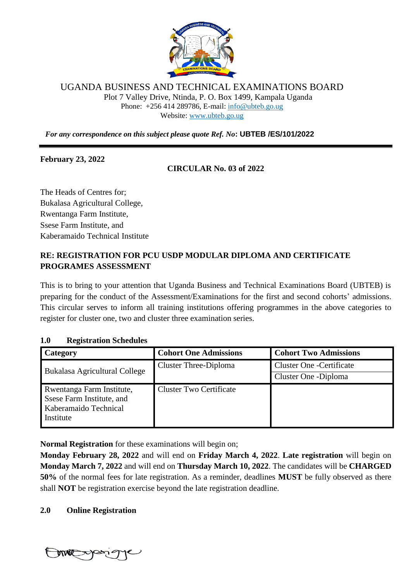

## UGANDA BUSINESS AND TECHNICAL EXAMINATIONS BOARD

Plot 7 Valley Drive, Ntinda, P. O. Box 1499, Kampala Uganda Phone: +256 414 289786, E-mail: [info@ubteb.go.ug](mailto:info@ubteb.go.ug) Website: www.ubteb.go.ug

*For any correspondence on this subject please quote Ref. No***: UBTEB /ES/101/2022**

## **February 23, 2022**

## **CIRCULAR No. 03 of 2022**

The Heads of Centres for; Bukalasa Agricultural College, Rwentanga Farm Institute, Ssese Farm Institute, and Kaberamaido Technical Institute

**…………………………………….**

# **RE: REGISTRATION FOR PCU USDP MODULAR DIPLOMA AND CERTIFICATE PROGRAMES ASSESSMENT**

This is to bring to your attention that Uganda Business and Technical Examinations Board (UBTEB) is preparing for the conduct of the Assessment/Examinations for the first and second cohorts' admissions. This circular serves to inform all training institutions offering programmes in the above categories to register for cluster one, two and cluster three examination series.

## **1.0 Registration Schedules**

| Category                                                                                     | <b>Cohort One Admissions</b>   | <b>Cohort Two Admissions</b>    |
|----------------------------------------------------------------------------------------------|--------------------------------|---------------------------------|
| <b>Bukalasa Agricultural College</b>                                                         | <b>Cluster Three-Diploma</b>   | <b>Cluster One -Certificate</b> |
|                                                                                              |                                | Cluster One - Diploma           |
| Rwentanga Farm Institute,<br>Ssese Farm Institute, and<br>Kaberamaido Technical<br>Institute | <b>Cluster Two Certificate</b> |                                 |

**Normal Registration** for these examinations will begin on;

**Monday February 28, 2022** and will end on **Friday March 4, 2022**. **Late registration** will begin on **Monday March 7, 2022** and will end on **Thursday March 10, 2022**. The candidates will be **CHARGED 50%** of the normal fees for late registration. As a reminder, deadlines **MUST** be fully observed as there shall **NOT** be registration exercise beyond the late registration deadline.

## **2.0 Online Registration**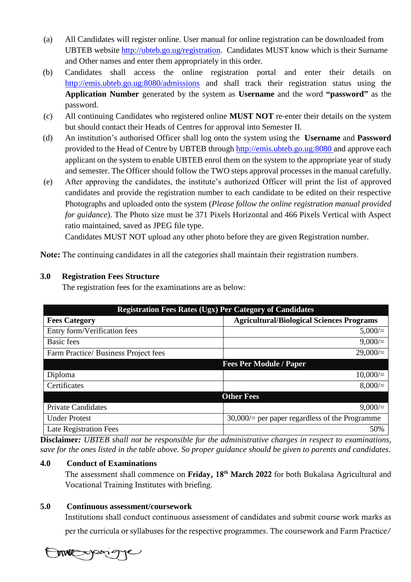- (a) All Candidates will register online. User manual for online registration can be downloaded from UBTEB website [http://ubteb.go.ug/registration.](http://ubteb.go.ug/registration) Candidates MUST know which is their Surname and Other names and enter them appropriately in this order.
- (b) Candidates shall access the online registration portal and enter their details on <http://emis.ubteb.go.ug:8080/admissions> and shall track their registration status using the **Application Number** generated by the system as **Username** and the word **"password"** as the password.
- (c) All continuing Candidates who registered online **MUST NOT** re-enter their details on the system but should contact their Heads of Centres for approval into Semester II.
- (d) An institution's authorised Officer shall log onto the system using the **Username** and **Password** provided to the Head of Centre by UBTEB through [http://emis.ubteb.go.ug:8080](http://emis.ubteb.go.ug:8080/) and approve each applicant on the system to enable UBTEB enrol them on the system to the appropriate year of study and semester. The Officer should follow the TWO steps approval processes in the manual carefully.
- (e) After approving the candidates, the institute's authorized Officer will print the list of approved candidates and provide the registration number to each candidate to be edited on their respective Photographs and uploaded onto the system (*Please follow the online registration manual provided for guidance*). The Photo size must be 371 Pixels Horizontal and 466 Pixels Vertical with Aspect ratio maintained, saved as JPEG file type.

Candidates MUST NOT upload any other photo before they are given Registration number.

Note: The continuing candidates in all the categories shall maintain their registration numbers.

#### **3.0 Registration Fees Structure**

The registration fees for the examinations are as below:

| <b>Registration Fees Rates (Ugx) Per Category of Candidates</b> |                                                  |  |  |
|-----------------------------------------------------------------|--------------------------------------------------|--|--|
| <b>Fees Category</b>                                            | <b>Agricultural/Biological Sciences Programs</b> |  |  |
| Entry form/Verification fees                                    | 5,000/                                           |  |  |
| <b>Basic</b> fees                                               | 9,000/                                           |  |  |
| Farm Practice/ Business Project fees                            | 29,000/                                          |  |  |
| <b>Fees Per Module / Paper</b>                                  |                                                  |  |  |
| Diploma                                                         | 10,000/                                          |  |  |
| Certificates                                                    | 8,000/                                           |  |  |
| <b>Other Fees</b>                                               |                                                  |  |  |
| <b>Private Candidates</b>                                       | 9,000/                                           |  |  |
| <b>Under Protest</b>                                            | $30,000/$ per paper regardless of the Programme  |  |  |
| Late Registration Fees                                          | 50%                                              |  |  |

**Disclaimer***: UBTEB shall not be responsible for the administrative charges in respect to examinations, save for the ones listed in the table above. So proper guidance should be given to parents and candidates*.

#### **4.0 Conduct of Examinations**

The assessment shall commence on Friday, 18<sup>th</sup> March 2022 for both Bukalasa Agricultural and Vocational Training Institutes with briefing.

#### **5.0 Continuous assessment/coursework**

Institutions shall conduct continuous assessment of candidates and submit course work marks as per the curricula or syllabuses for the respective programmes. The coursework and Farm Practice/

me para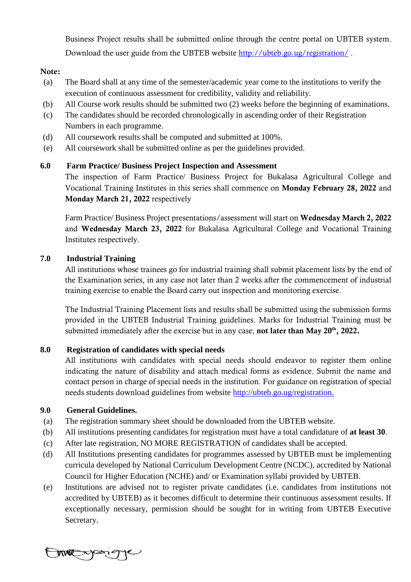Business Project results shall be submitted online through the centre portal on UBTEB system. Download the user guide from the UBTEB website <http://ubteb.go.ug/registration/>.

### Note:

- (a) The Board shall at any time of the semester/academic year come to the institutions to verify the execution of continuous assessment for credibility, validity and reliability.
- (b) All Course work results should be submitted two (2) weeks before the beginning of examinations.
- (c) The candidates should be recorded chronologically in ascending order of their Registration Numbers in each programme.
- (d) All coursework results shall be computed and submitted at 100%.
- (e) All coursework shall be submitted online as per the guidelines provided.

## **6.0 Farm Practice/ Business Project Inspection and Assessment**

The inspection of Farm Practice/ Business Project for Bukalasa Agricultural College and Vocational Training Institutes in this series shall commence on Monday February 28, 2022 and Monday March 21, 2022 respectively

Farm Practice/ Business Project presentations/assessment will start on Wednesday March 2, 2022 and Wednesday March 23, 2022 for Bukalasa Agricultural College and Vocational Training Institutes respectively.

## **7.0 Industrial Training**

All institutions whose trainees go for industrial training shall submit placement lists by the end of the Examination series, in any case not later than 2 weeks after the commencement of industrial training exercise to enable the Board carry out inspection and monitoring exercise.

The Industrial Training Placement lists and results shall be submitted using the submission forms provided in the UBTEB Industrial Training guidelines. Marks for Industrial Training must be submitted immediately after the exercise but in any case, **not later than May 20<sup>th</sup>, 2022.** 

## **8.0 Registration of candidates with special needs**

All institutions with candidates with special needs should endeavor to register them online indicating the nature of disability and attach medical forms as evidence. Submit the name and contact person in charge of special needs in the institution. For guidance on registration of special needs students download guidelines from website [http://ubteb.go.ug/registration.](http://ubteb.go.ug/registration)

## **9.0 General Guidelines.**

- (a) The registration summary sheet should be downloaded from the UBTEB website.
- (b) All institutions presenting candidates for registration must have a total candidature of **at least 30**.
- (c) After late registration, NO MORE REGISTRATION of candidates shall be accepted.
- (d) All Institutions presenting candidates for programmes assessed by UBTEB must be implementing curricula developed by National Curriculum Development Centre (NCDC), accredited by National Council for Higher Education (NCHE) and/ or Examination syllabi provided by UBTEB.
- (e) Institutions are advised not to register private candidates (i.e. candidates from institutions not accredited by UBTEB) as it becomes difficult to determine their continuous assessment results. If exceptionally necessary, permission should be sought for in writing from UBTEB Executive Secretary.

megant